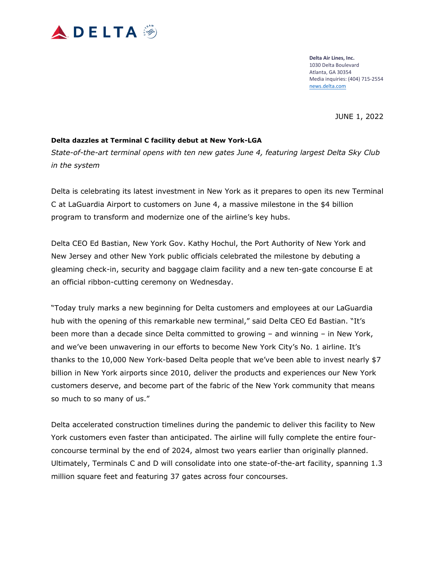

JUNE 1, 2022

## **Delta dazzles at Terminal C facility debut at New York-LGA**

*State-of-the-art terminal opens with ten new gates June 4, featuring largest Delta Sky Club in the system* 

Delta is celebrating its latest investment in New York as it prepares to open its new Terminal C at LaGuardia Airport to customers on June 4, a massive milestone in the \$4 billion program to transform and modernize one of the airline's key hubs.

Delta CEO Ed Bastian, New York Gov. Kathy Hochul, the Port Authority of New York and New Jersey and other New York public officials celebrated the milestone by debuting a gleaming check-in, security and baggage claim facility and a new ten-gate concourse E at an official ribbon-cutting ceremony on Wednesday.

"Today truly marks a new beginning for Delta customers and employees at our LaGuardia hub with the opening of this remarkable new terminal," said Delta CEO Ed Bastian. "It's been more than a decade since Delta committed to growing – and winning – in New York, and we've been unwavering in our efforts to become New York City's No. 1 airline. It's thanks to the 10,000 New York-based Delta people that we've been able to invest nearly \$7 billion in New York airports since 2010, deliver the products and experiences our New York customers deserve, and become part of the fabric of the New York community that means so much to so many of us."

Delta accelerated construction timelines during the pandemic to deliver this facility to New York customers even faster than anticipated. The airline will fully complete the entire fourconcourse terminal by the end of 2024, almost two years earlier than originally planned. Ultimately, Terminals C and D will consolidate into one state-of-the-art facility, spanning 1.3 million square feet and featuring 37 gates across four concourses.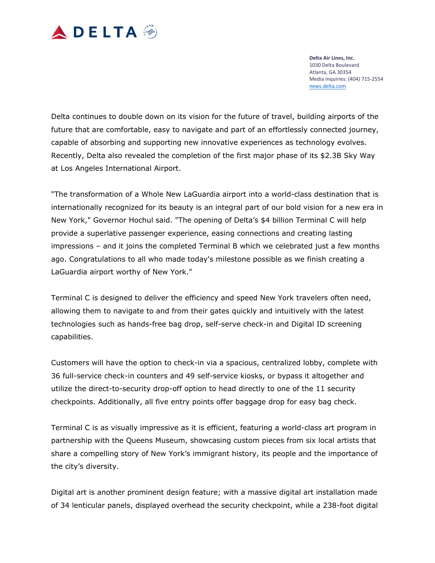

Delta continues to double down on its vision for the future of travel, building airports of the future that are comfortable, easy to navigate and part of an effortlessly connected journey, capable of absorbing and supporting new innovative experiences as technology evolves. Recently, Delta also revealed the completion of the first major phase of its \$2.3B Sky Way at Los Angeles International Airport.

"The transformation of a Whole New LaGuardia airport into a world-class destination that is internationally recognized for its beauty is an integral part of our bold vision for a new era in New York," Governor Hochul said. "The opening of Delta's \$4 billion Terminal C will help provide a superlative passenger experience, easing connections and creating lasting impressions – and it joins the completed Terminal B which we celebrated just a few months ago. Congratulations to all who made today's milestone possible as we finish creating a LaGuardia airport worthy of New York."

Terminal C is designed to deliver the efficiency and speed New York travelers often need, allowing them to navigate to and from their gates quickly and intuitively with the latest technologies such as hands-free bag drop, self-serve check-in and Digital ID screening capabilities.

Customers will have the option to check-in via a spacious, centralized lobby, complete with 36 full-service check-in counters and 49 self-service kiosks, or bypass it altogether and utilize the direct-to-security drop-off option to head directly to one of the 11 security checkpoints. Additionally, all five entry points offer baggage drop for easy bag check.

Terminal C is as visually impressive as it is efficient, featuring a world-class art program in partnership with the Queens Museum, showcasing custom pieces from six local artists that share a compelling story of New York's immigrant history, its people and the importance of the city's diversity.

Digital art is another prominent design feature; with a massive digital art installation made of 34 lenticular panels, displayed overhead the security checkpoint, while a 238-foot digital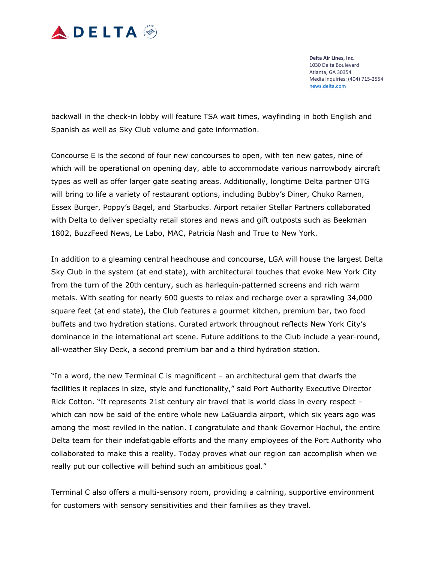

backwall in the check-in lobby will feature TSA wait times, wayfinding in both English and Spanish as well as Sky Club volume and gate information.

Concourse E is the second of four new concourses to open, with ten new gates, nine of which will be operational on opening day, able to accommodate various narrowbody aircraft types as well as offer larger gate seating areas. Additionally, longtime Delta partner OTG will bring to life a variety of restaurant options, including Bubby's Diner, Chuko Ramen, Essex Burger, Poppy's Bagel, and Starbucks. Airport retailer Stellar Partners collaborated with Delta to deliver specialty retail stores and news and gift outposts such as Beekman 1802, BuzzFeed News, Le Labo, MAC, Patricia Nash and True to New York.

In addition to a gleaming central headhouse and concourse, LGA will house the largest Delta Sky Club in the system (at end state), with architectural touches that evoke New York City from the turn of the 20th century, such as harlequin-patterned screens and rich warm metals. With seating for nearly 600 guests to relax and recharge over a sprawling 34,000 square feet (at end state), the Club features a gourmet kitchen, premium bar, two food buffets and two hydration stations. Curated artwork throughout reflects New York City's dominance in the international art scene. Future additions to the Club include a year-round, all-weather Sky Deck, a second premium bar and a third hydration station.

"In a word, the new Terminal C is magnificent – an architectural gem that dwarfs the facilities it replaces in size, style and functionality," said Port Authority Executive Director Rick Cotton. "It represents 21st century air travel that is world class in every respect – which can now be said of the entire whole new LaGuardia airport, which six years ago was among the most reviled in the nation. I congratulate and thank Governor Hochul, the entire Delta team for their indefatigable efforts and the many employees of the Port Authority who collaborated to make this a reality. Today proves what our region can accomplish when we really put our collective will behind such an ambitious goal."

Terminal C also offers a multi-sensory room, providing a calming, supportive environment for customers with sensory sensitivities and their families as they travel.